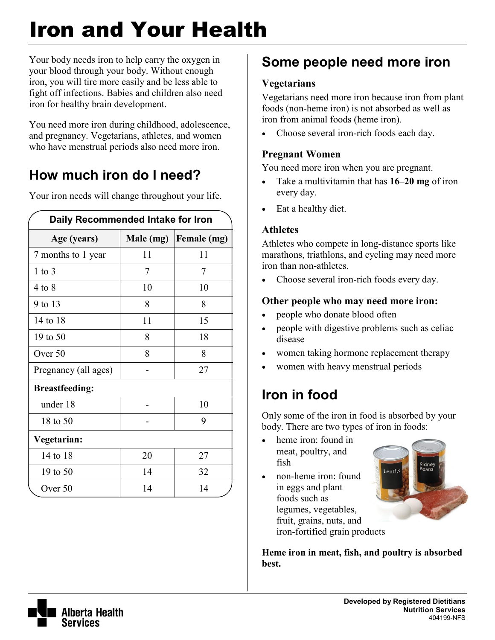# Iron and Your Health

Your body needs iron to help carry the oxygen in your blood through your body. Without enough iron, you will tire more easily and be less able to fight off infections. Babies and children also need iron for healthy brain development.

You need more iron during childhood, adolescence, and pregnancy. Vegetarians, athletes, and women who have menstrual periods also need more iron.

# **How much iron do I need?**

**Daily Recommended Intake for Iron Age (years) Male (mg) Female (mg)** 7 months to 1 year 11 11 11 1 to 3 7 7 7 7 4 to 8 10 10 10 9 to 13 8 8  $14 \text{ to } 18$  11 1 15 19 to 50 8 18 Over 50 | 8 | 8 Pregnancy (all ages) |  $\qquad$  - | 27 **Breastfeeding:**  under 18 - 10 18 to 50 | - | 9 **Vegetarian:**  14 to 18 20 27 19 to 50 14 14 32 Over 50 14 14 14

Your iron needs will change throughout your life.

# **Some people need more iron**

### **Vegetarians**

Vegetarians need more iron because iron from plant foods (non-heme iron) is not absorbed as well as iron from animal foods (heme iron).

• Choose several iron-rich foods each day.

### **Pregnant Women**

You need more iron when you are pregnant.

- Take a multivitamin that has **16–20 mg** of iron every day.
- Eat a healthy diet.

### **Athletes**

Athletes who compete in long-distance sports like marathons, triathlons, and cycling may need more iron than non-athletes.

Choose several iron-rich foods every day.

### **Other people who may need more iron:**

- people who donate blood often
- people with digestive problems such as celiac disease
- women taking hormone replacement therapy
- women with heavy menstrual periods

## **Iron in food**

Only some of the iron in food is absorbed by your body. There are two types of iron in foods:

- heme iron: found in meat, poultry, and fish
- non-heme iron: found in eggs and plant foods such as legumes, vegetables, fruit, grains, nuts, and iron-fortified grain products



**Heme iron in meat, fish, and poultry is absorbed best.**